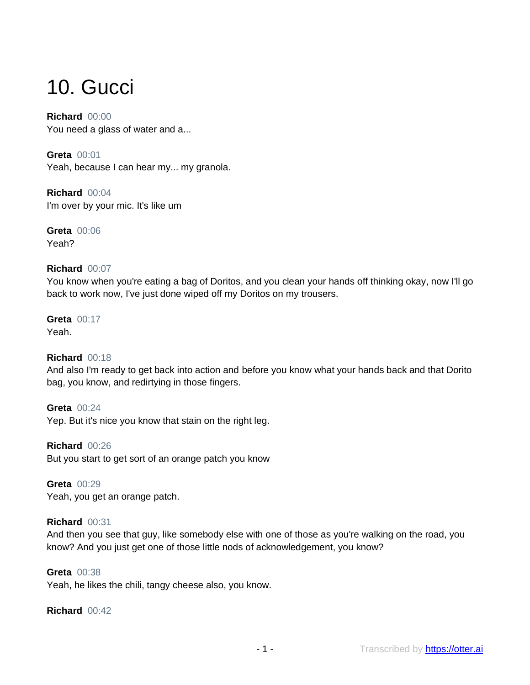# 10. Gucci

**Richard** 00:00 You need a glass of water and a...

**Greta** 00:01 Yeah, because I can hear my... my granola.

**Richard** 00:04 I'm over by your mic. It's like um

**Greta** 00:06 Yeah?

## **Richard** 00:07

You know when you're eating a bag of Doritos, and you clean your hands off thinking okay, now I'll go back to work now, I've just done wiped off my Doritos on my trousers.

#### **Greta** 00:17 Yeah.

# **Richard** 00:18

And also I'm ready to get back into action and before you know what your hands back and that Dorito bag, you know, and redirtying in those fingers.

**Greta** 00:24 Yep. But it's nice you know that stain on the right leg.

**Richard** 00:26 But you start to get sort of an orange patch you know

**Greta** 00:29 Yeah, you get an orange patch.

# **Richard** 00:31

And then you see that guy, like somebody else with one of those as you're walking on the road, you know? And you just get one of those little nods of acknowledgement, you know?

## **Greta** 00:38

Yeah, he likes the chili, tangy cheese also, you know.

## **Richard** 00:42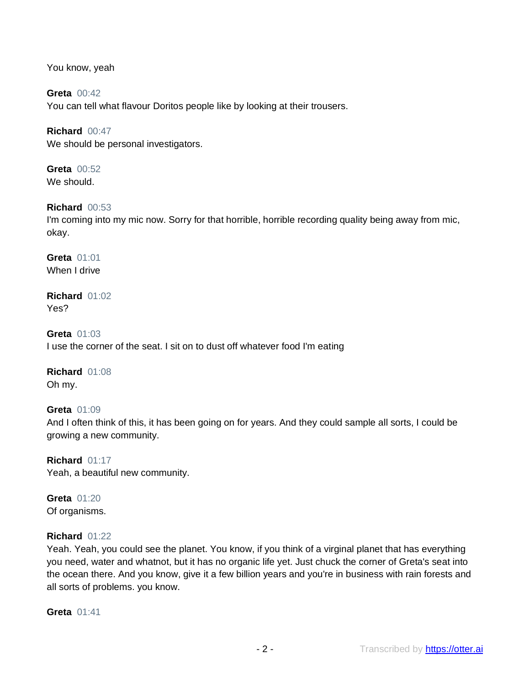You know, yeah

**Greta** 00:42 You can tell what flavour Doritos people like by looking at their trousers.

**Richard** 00:47 We should be personal investigators.

**Greta** 00:52 We should.

## **Richard** 00:53

I'm coming into my mic now. Sorry for that horrible, horrible recording quality being away from mic, okay.

**Greta** 01:01 When I drive

#### **Richard** 01:02 Yes?

**Greta** 01:03 I use the corner of the seat. I sit on to dust off whatever food I'm eating

**Richard** 01:08 Oh my.

**Greta** 01:09 And I often think of this, it has been going on for years. And they could sample all sorts, I could be growing a new community.

**Richard** 01:17 Yeah, a beautiful new community.

**Greta** 01:20 Of organisms.

## **Richard** 01:22

Yeah. Yeah, you could see the planet. You know, if you think of a virginal planet that has everything you need, water and whatnot, but it has no organic life yet. Just chuck the corner of Greta's seat into the ocean there. And you know, give it a few billion years and you're in business with rain forests and all sorts of problems. you know.

**Greta** 01:41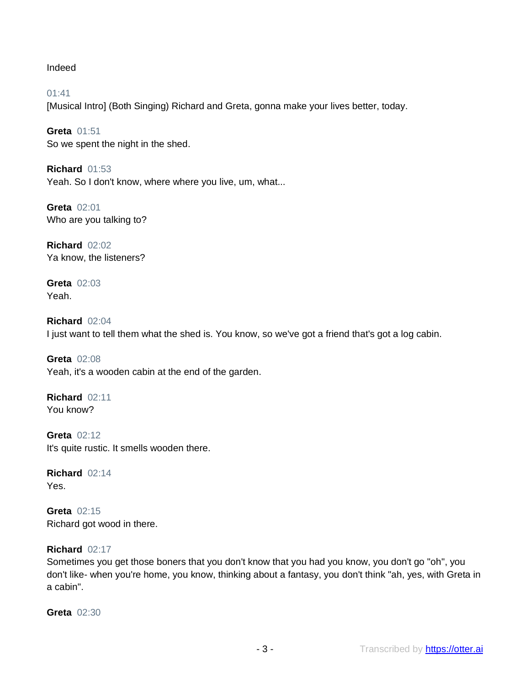Indeed

01:41 [Musical Intro] (Both Singing) Richard and Greta, gonna make your lives better, today.

**Greta** 01:51 So we spent the night in the shed.

**Richard** 01:53 Yeah. So I don't know, where where you live, um, what...

**Greta** 02:01 Who are you talking to?

**Richard** 02:02 Ya know, the listeners?

**Greta** 02:03 Yeah.

**Richard** 02:04 I just want to tell them what the shed is. You know, so we've got a friend that's got a log cabin.

**Greta** 02:08 Yeah, it's a wooden cabin at the end of the garden.

**Richard** 02:11 You know?

**Greta** 02:12 It's quite rustic. It smells wooden there.

**Richard** 02:14 Yes.

**Greta** 02:15 Richard got wood in there.

# **Richard** 02:17

Sometimes you get those boners that you don't know that you had you know, you don't go "oh", you don't like- when you're home, you know, thinking about a fantasy, you don't think "ah, yes, with Greta in a cabin".

**Greta** 02:30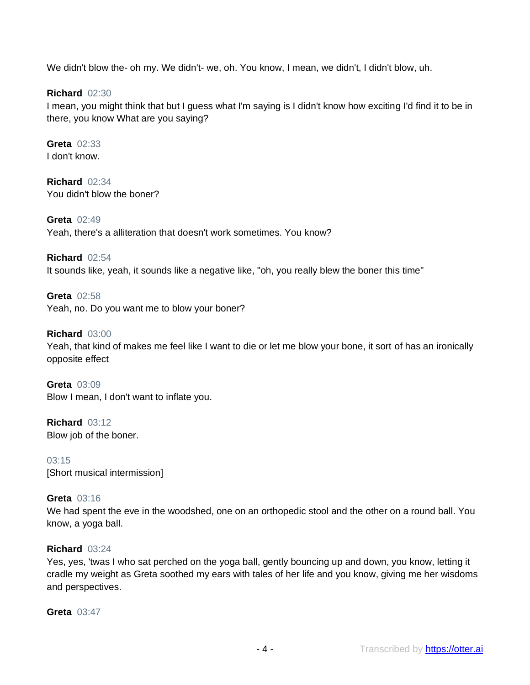We didn't blow the- oh my. We didn't- we, oh. You know, I mean, we didn't, I didn't blow, uh.

**Richard** 02:30

I mean, you might think that but I guess what I'm saying is I didn't know how exciting I'd find it to be in there, you know What are you saying?

**Greta** 02:33 I don't know.

**Richard** 02:34 You didn't blow the boner?

**Greta** 02:49 Yeah, there's a alliteration that doesn't work sometimes. You know?

**Richard** 02:54 It sounds like, yeah, it sounds like a negative like, "oh, you really blew the boner this time"

**Greta** 02:58 Yeah, no. Do you want me to blow your boner?

**Richard** 03:00 Yeah, that kind of makes me feel like I want to die or let me blow your bone, it sort of has an ironically opposite effect

**Greta** 03:09 Blow I mean, I don't want to inflate you.

**Richard** 03:12 Blow job of the boner.

03:15 [Short musical intermission]

# **Greta** 03:16

We had spent the eve in the woodshed, one on an orthopedic stool and the other on a round ball. You know, a yoga ball.

# **Richard** 03:24

Yes, yes, 'twas I who sat perched on the yoga ball, gently bouncing up and down, you know, letting it cradle my weight as Greta soothed my ears with tales of her life and you know, giving me her wisdoms and perspectives.

**Greta** 03:47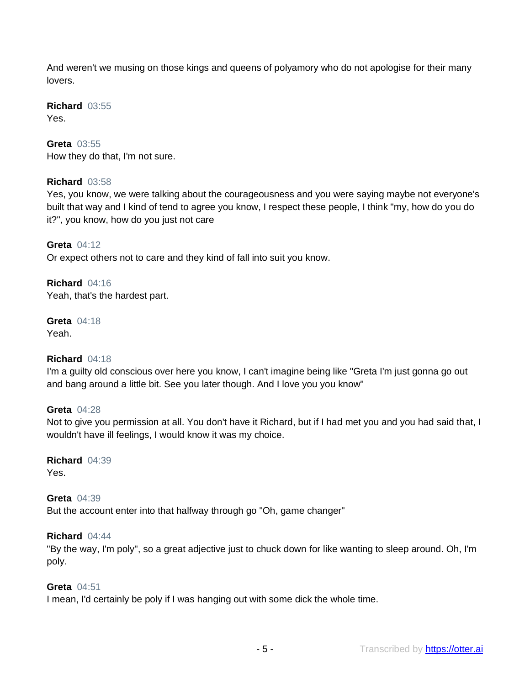And weren't we musing on those kings and queens of polyamory who do not apologise for their many lovers.

**Richard** 03:55 Yes.

## **Greta** 03:55

How they do that, I'm not sure.

#### **Richard** 03:58

Yes, you know, we were talking about the courageousness and you were saying maybe not everyone's built that way and I kind of tend to agree you know, I respect these people, I think "my, how do you do it?", you know, how do you just not care

**Greta** 04:12 Or expect others not to care and they kind of fall into suit you know.

**Richard** 04:16 Yeah, that's the hardest part.

**Greta** 04:18 Yeah.

#### **Richard** 04:18

I'm a guilty old conscious over here you know, I can't imagine being like "Greta I'm just gonna go out and bang around a little bit. See you later though. And I love you you know"

#### **Greta** 04:28

Not to give you permission at all. You don't have it Richard, but if I had met you and you had said that, I wouldn't have ill feelings, I would know it was my choice.

**Richard** 04:39 Yes.

**Greta** 04:39 But the account enter into that halfway through go "Oh, game changer"

#### **Richard** 04:44

"By the way, I'm poly", so a great adjective just to chuck down for like wanting to sleep around. Oh, I'm poly.

#### **Greta** 04:51

I mean, I'd certainly be poly if I was hanging out with some dick the whole time.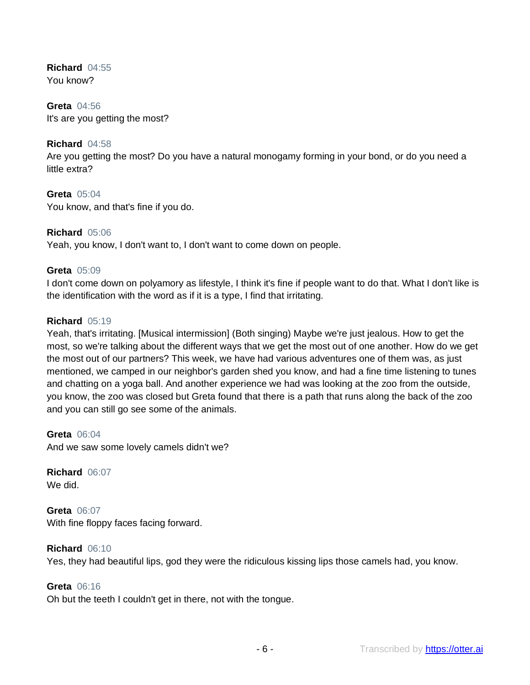**Richard** 04:55 You know?

**Greta** 04:56 It's are you getting the most?

## **Richard** 04:58

Are you getting the most? Do you have a natural monogamy forming in your bond, or do you need a little extra?

**Greta** 05:04 You know, and that's fine if you do.

#### **Richard** 05:06

Yeah, you know, I don't want to, I don't want to come down on people.

#### **Greta** 05:09

I don't come down on polyamory as lifestyle, I think it's fine if people want to do that. What I don't like is the identification with the word as if it is a type, I find that irritating.

## **Richard** 05:19

Yeah, that's irritating. [Musical intermission] (Both singing) Maybe we're just jealous. How to get the most, so we're talking about the different ways that we get the most out of one another. How do we get the most out of our partners? This week, we have had various adventures one of them was, as just mentioned, we camped in our neighbor's garden shed you know, and had a fine time listening to tunes and chatting on a yoga ball. And another experience we had was looking at the zoo from the outside, you know, the zoo was closed but Greta found that there is a path that runs along the back of the zoo and you can still go see some of the animals.

**Greta** 06:04 And we saw some lovely camels didn't we?

**Richard** 06:07 We did.

**Greta** 06:07 With fine floppy faces facing forward.

**Richard** 06:10 Yes, they had beautiful lips, god they were the ridiculous kissing lips those camels had, you know.

# **Greta** 06:16

Oh but the teeth I couldn't get in there, not with the tongue.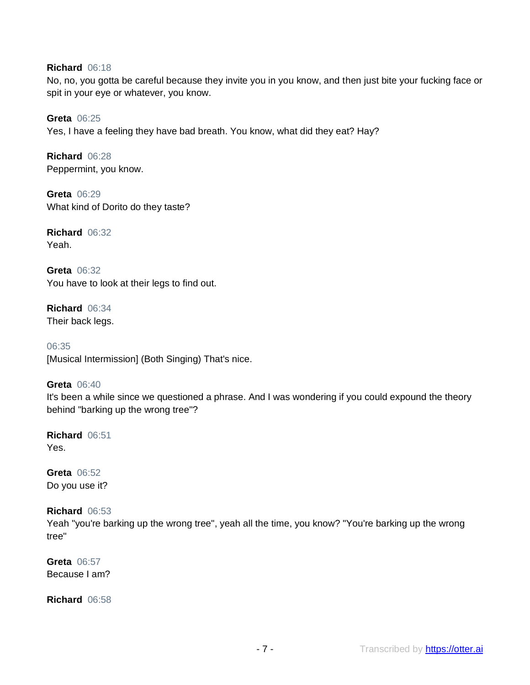## **Richard** 06:18

No, no, you gotta be careful because they invite you in you know, and then just bite your fucking face or spit in your eye or whatever, you know.

**Greta** 06:25 Yes, I have a feeling they have bad breath. You know, what did they eat? Hay?

**Richard** 06:28 Peppermint, you know.

**Greta** 06:29 What kind of Dorito do they taste?

**Richard** 06:32 Yeah.

**Greta** 06:32 You have to look at their legs to find out.

**Richard** 06:34 Their back legs.

06:35 [Musical Intermission] (Both Singing) That's nice.

## **Greta** 06:40

It's been a while since we questioned a phrase. And I was wondering if you could expound the theory behind "barking up the wrong tree"?

**Richard** 06:51 Yes.

**Greta** 06:52 Do you use it?

## **Richard** 06:53

Yeah "you're barking up the wrong tree", yeah all the time, you know? "You're barking up the wrong tree"

**Greta** 06:57 Because I am?

**Richard** 06:58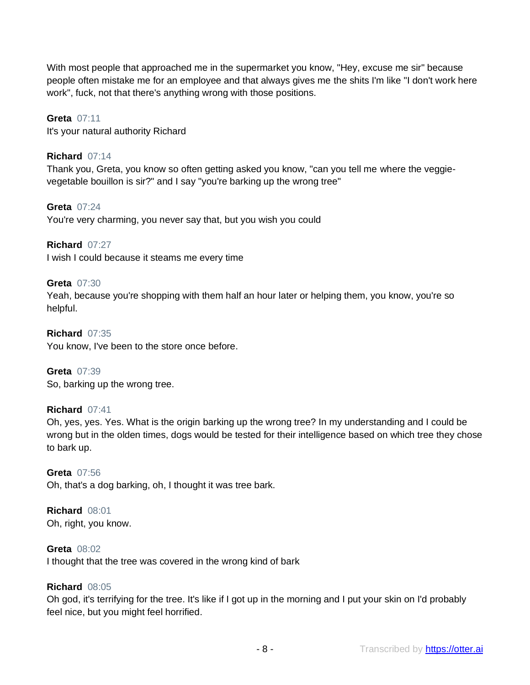With most people that approached me in the supermarket you know, "Hey, excuse me sir" because people often mistake me for an employee and that always gives me the shits I'm like "I don't work here work", fuck, not that there's anything wrong with those positions.

## **Greta** 07:11

It's your natural authority Richard

## **Richard** 07:14

Thank you, Greta, you know so often getting asked you know, "can you tell me where the veggievegetable bouillon is sir?" and I say "you're barking up the wrong tree"

# **Greta** 07:24

You're very charming, you never say that, but you wish you could

## **Richard** 07:27

I wish I could because it steams me every time

## **Greta** 07:30

Yeah, because you're shopping with them half an hour later or helping them, you know, you're so helpful.

**Richard** 07:35 You know, I've been to the store once before.

**Greta** 07:39 So, barking up the wrong tree.

## **Richard** 07:41

Oh, yes, yes. Yes. What is the origin barking up the wrong tree? In my understanding and I could be wrong but in the olden times, dogs would be tested for their intelligence based on which tree they chose to bark up.

## **Greta** 07:56

Oh, that's a dog barking, oh, I thought it was tree bark.

# **Richard** 08:01

Oh, right, you know.

## **Greta** 08:02

I thought that the tree was covered in the wrong kind of bark

## **Richard** 08:05

Oh god, it's terrifying for the tree. It's like if I got up in the morning and I put your skin on I'd probably feel nice, but you might feel horrified.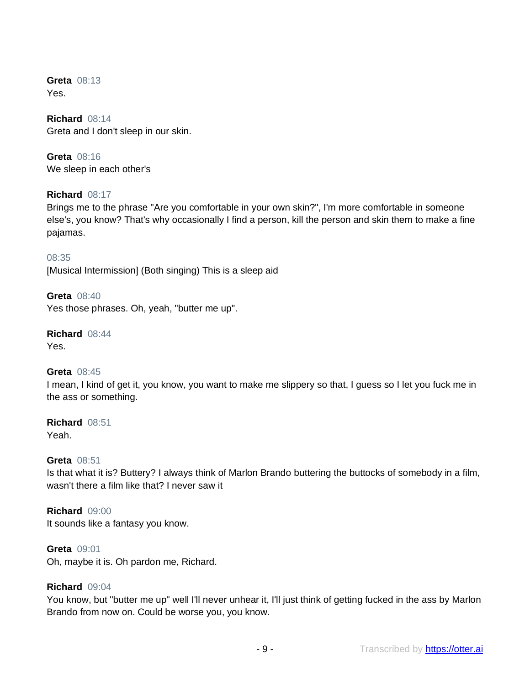**Greta** 08:13 Yes.

**Richard** 08:14 Greta and I don't sleep in our skin.

**Greta** 08:16 We sleep in each other's

# **Richard** 08:17

Brings me to the phrase "Are you comfortable in your own skin?", I'm more comfortable in someone else's, you know? That's why occasionally I find a person, kill the person and skin them to make a fine pajamas.

08:35 [Musical Intermission] (Both singing) This is a sleep aid

**Greta** 08:40 Yes those phrases. Oh, yeah, "butter me up".

**Richard** 08:44 Yes.

## **Greta** 08:45

I mean, I kind of get it, you know, you want to make me slippery so that, I guess so I let you fuck me in the ass or something.

**Richard** 08:51 Yeah.

#### **Greta** 08:51

Is that what it is? Buttery? I always think of Marlon Brando buttering the buttocks of somebody in a film, wasn't there a film like that? I never saw it

**Richard** 09:00 It sounds like a fantasy you know.

#### **Greta** 09:01

Oh, maybe it is. Oh pardon me, Richard.

#### **Richard** 09:04

You know, but "butter me up" well I'll never unhear it, I'll just think of getting fucked in the ass by Marlon Brando from now on. Could be worse you, you know.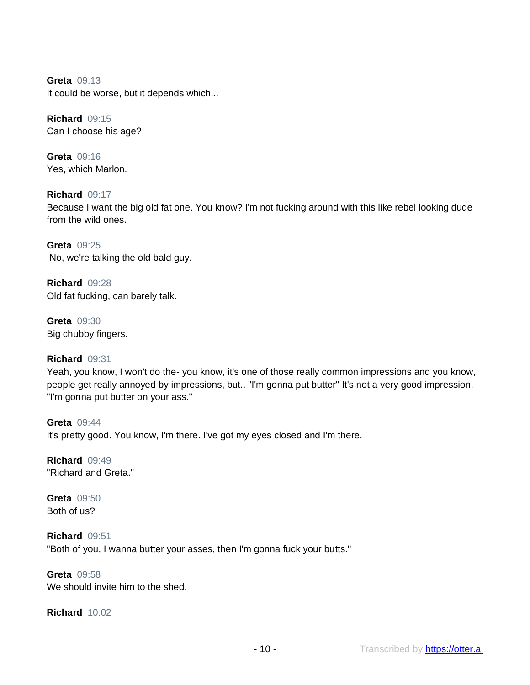**Greta** 09:13 It could be worse, but it depends which...

**Richard** 09:15 Can I choose his age?

**Greta** 09:16 Yes, which Marlon.

**Richard** 09:17 Because I want the big old fat one. You know? I'm not fucking around with this like rebel looking dude from the wild ones.

**Greta** 09:25 No, we're talking the old bald guy.

**Richard** 09:28 Old fat fucking, can barely talk.

**Greta** 09:30 Big chubby fingers.

# **Richard** 09:31

Yeah, you know, I won't do the- you know, it's one of those really common impressions and you know, people get really annoyed by impressions, but.. "I'm gonna put butter" It's not a very good impression. "I'm gonna put butter on your ass."

**Greta** 09:44 It's pretty good. You know, I'm there. I've got my eyes closed and I'm there.

**Richard** 09:49 "Richard and Greta."

**Greta** 09:50 Both of us?

**Richard** 09:51 "Both of you, I wanna butter your asses, then I'm gonna fuck your butts."

**Greta** 09:58 We should invite him to the shed.

**Richard** 10:02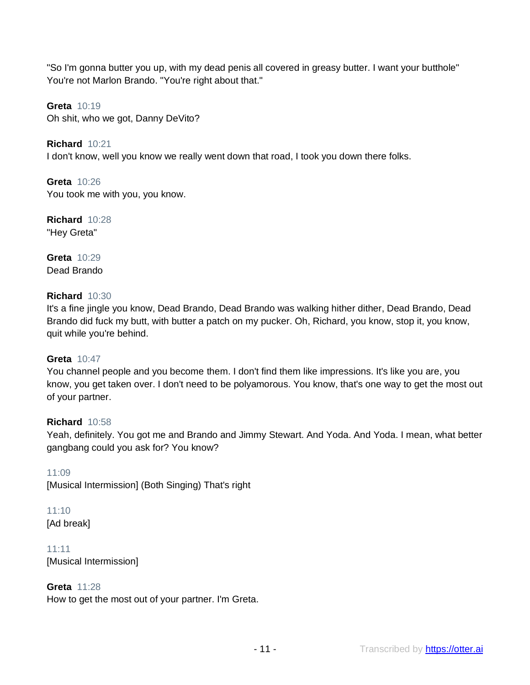"So I'm gonna butter you up, with my dead penis all covered in greasy butter. I want your butthole" You're not Marlon Brando. "You're right about that."

**Greta** 10:19 Oh shit, who we got, Danny DeVito?

**Richard** 10:21 I don't know, well you know we really went down that road, I took you down there folks.

**Greta** 10:26 You took me with you, you know.

**Richard** 10:28 "Hey Greta"

**Greta** 10:29 Dead Brando

# **Richard** 10:30

It's a fine jingle you know, Dead Brando, Dead Brando was walking hither dither, Dead Brando, Dead Brando did fuck my butt, with butter a patch on my pucker. Oh, Richard, you know, stop it, you know, quit while you're behind.

## **Greta** 10:47

You channel people and you become them. I don't find them like impressions. It's like you are, you know, you get taken over. I don't need to be polyamorous. You know, that's one way to get the most out of your partner.

## **Richard** 10:58

Yeah, definitely. You got me and Brando and Jimmy Stewart. And Yoda. And Yoda. I mean, what better gangbang could you ask for? You know?

11:09 [Musical Intermission] (Both Singing) That's right

## 11:10 [Ad break]

11:11 [Musical Intermission]

# **Greta** 11:28

How to get the most out of your partner. I'm Greta.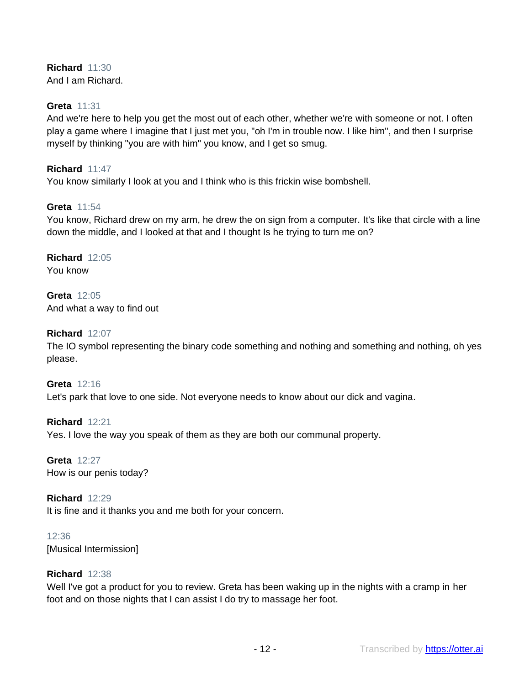## **Richard** 11:30 And I am Richard.

## **Greta** 11:31

And we're here to help you get the most out of each other, whether we're with someone or not. I often play a game where I imagine that I just met you, "oh I'm in trouble now. I like him", and then I surprise myself by thinking "you are with him" you know, and I get so smug.

## **Richard** 11:47

You know similarly I look at you and I think who is this frickin wise bombshell.

## **Greta** 11:54

You know, Richard drew on my arm, he drew the on sign from a computer. It's like that circle with a line down the middle, and I looked at that and I thought Is he trying to turn me on?

**Richard** 12:05 You know

**Greta** 12:05 And what a way to find out

## **Richard** 12:07

The IO symbol representing the binary code something and nothing and something and nothing, oh yes please.

**Greta** 12:16 Let's park that love to one side. Not everyone needs to know about our dick and vagina.

**Richard** 12:21 Yes. I love the way you speak of them as they are both our communal property.

**Greta** 12:27 How is our penis today?

**Richard** 12:29 It is fine and it thanks you and me both for your concern.

12:36 [Musical Intermission]

## **Richard** 12:38

Well I've got a product for you to review. Greta has been waking up in the nights with a cramp in her foot and on those nights that I can assist I do try to massage her foot.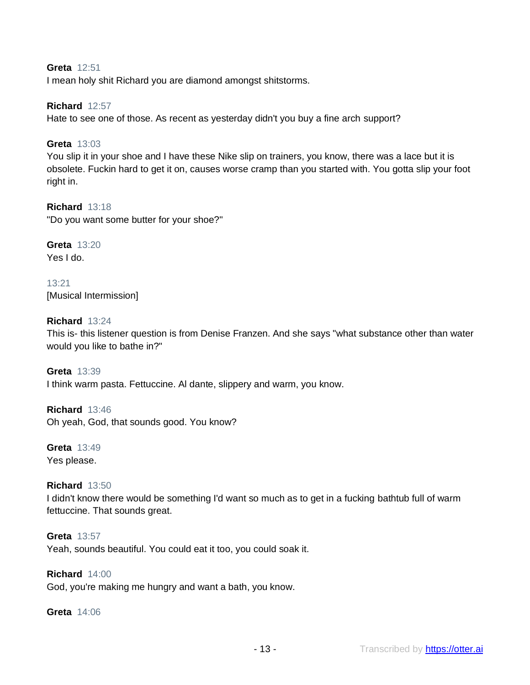## **Greta** 12:51

I mean holy shit Richard you are diamond amongst shitstorms.

#### **Richard** 12:57

Hate to see one of those. As recent as yesterday didn't you buy a fine arch support?

#### **Greta** 13:03

You slip it in your shoe and I have these Nike slip on trainers, you know, there was a lace but it is obsolete. Fuckin hard to get it on, causes worse cramp than you started with. You gotta slip your foot right in.

#### **Richard** 13:18

"Do you want some butter for your shoe?"

#### **Greta** 13:20 Yes I do.

13:21 [Musical Intermission]

## **Richard** 13:24

This is- this listener question is from Denise Franzen. And she says "what substance other than water would you like to bathe in?"

**Greta** 13:39 I think warm pasta. Fettuccine. Al dante, slippery and warm, you know.

**Richard** 13:46 Oh yeah, God, that sounds good. You know?

**Greta** 13:49 Yes please.

## **Richard** 13:50

I didn't know there would be something I'd want so much as to get in a fucking bathtub full of warm fettuccine. That sounds great.

**Greta** 13:57 Yeah, sounds beautiful. You could eat it too, you could soak it.

# **Richard** 14:00

God, you're making me hungry and want a bath, you know.

#### **Greta** 14:06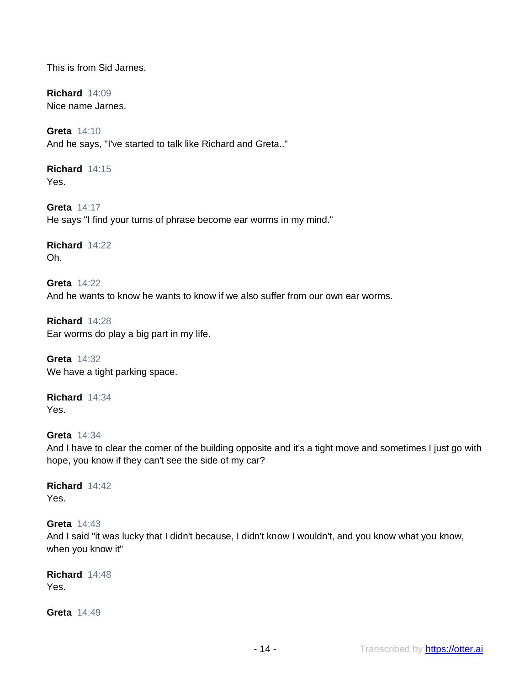This is from Sid Jarnes.

**Richard** 14:09 Nice name Jarnes.

**Greta** 14:10 And he says, "I've started to talk like Richard and Greta.."

**Richard** 14:15 Yes.

**Greta** 14:17 He says "I find your turns of phrase become ear worms in my mind."

**Richard** 14:22 Oh.

**Greta** 14:22 And he wants to know he wants to know if we also suffer from our own ear worms.

**Richard** 14:28 Ear worms do play a big part in my life.

**Greta** 14:32 We have a tight parking space.

**Richard** 14:34 Yes.

# **Greta** 14:34

And I have to clear the corner of the building opposite and it's a tight move and sometimes I just go with hope, you know if they can't see the side of my car?

**Richard** 14:42 Yes.

## **Greta** 14:43

And I said "it was lucky that I didn't because, I didn't know I wouldn't, and you know what you know, when you know it"

**Richard** 14:48 Yes.

**Greta** 14:49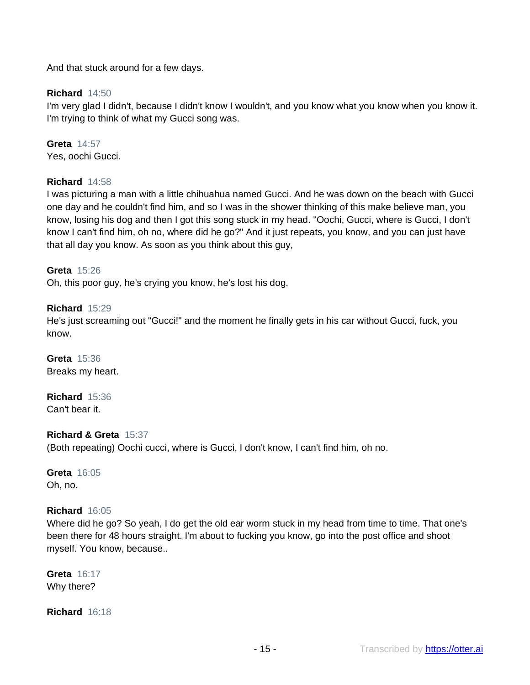And that stuck around for a few days.

## **Richard** 14:50

I'm very glad I didn't, because I didn't know I wouldn't, and you know what you know when you know it. I'm trying to think of what my Gucci song was.

**Greta** 14:57 Yes, oochi Gucci.

## **Richard** 14:58

I was picturing a man with a little chihuahua named Gucci. And he was down on the beach with Gucci one day and he couldn't find him, and so I was in the shower thinking of this make believe man, you know, losing his dog and then I got this song stuck in my head. "Oochi, Gucci, where is Gucci, I don't know I can't find him, oh no, where did he go?" And it just repeats, you know, and you can just have that all day you know. As soon as you think about this guy,

## **Greta** 15:26

Oh, this poor guy, he's crying you know, he's lost his dog.

## **Richard** 15:29

He's just screaming out "Gucci!" and the moment he finally gets in his car without Gucci, fuck, you know.

**Greta** 15:36 Breaks my heart.

**Richard** 15:36 Can't bear it.

## **Richard & Greta** 15:37

(Both repeating) Oochi cucci, where is Gucci, I don't know, I can't find him, oh no.

**Greta** 16:05 Oh, no.

## **Richard** 16:05

Where did he go? So yeah, I do get the old ear worm stuck in my head from time to time. That one's been there for 48 hours straight. I'm about to fucking you know, go into the post office and shoot myself. You know, because..

**Greta** 16:17 Why there?

**Richard** 16:18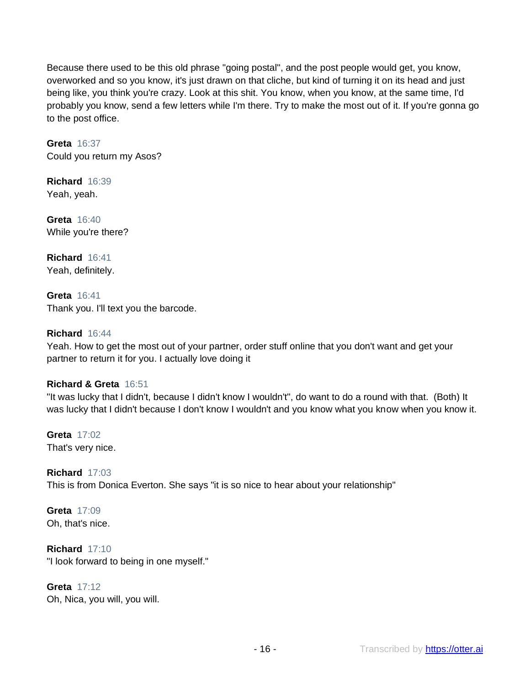Because there used to be this old phrase "going postal", and the post people would get, you know, overworked and so you know, it's just drawn on that cliche, but kind of turning it on its head and just being like, you think you're crazy. Look at this shit. You know, when you know, at the same time, I'd probably you know, send a few letters while I'm there. Try to make the most out of it. If you're gonna go to the post office.

**Greta** 16:37 Could you return my Asos?

**Richard** 16:39 Yeah, yeah.

**Greta** 16:40 While you're there?

**Richard** 16:41 Yeah, definitely.

**Greta** 16:41 Thank you. I'll text you the barcode.

# **Richard** 16:44

Yeah. How to get the most out of your partner, order stuff online that you don't want and get your partner to return it for you. I actually love doing it

# **Richard & Greta** 16:51

"It was lucky that I didn't, because I didn't know I wouldn't", do want to do a round with that. (Both) It was lucky that I didn't because I don't know I wouldn't and you know what you know when you know it.

**Greta** 17:02 That's very nice.

**Richard** 17:03 This is from Donica Everton. She says "it is so nice to hear about your relationship"

**Greta** 17:09 Oh, that's nice.

**Richard** 17:10 "I look forward to being in one myself."

**Greta** 17:12 Oh, Nica, you will, you will.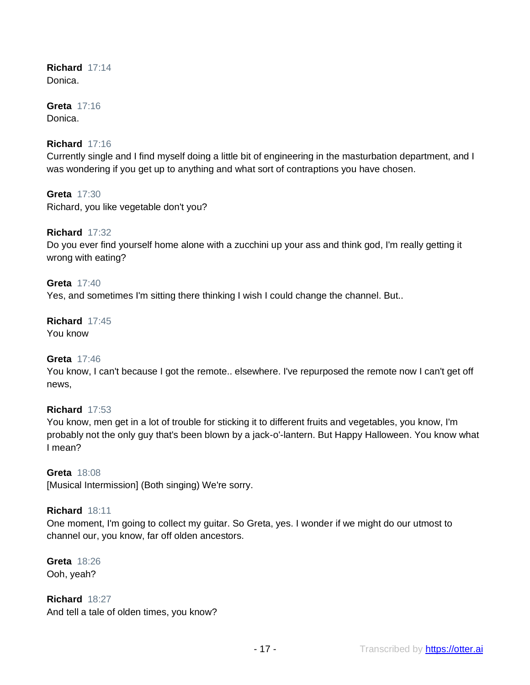#### **Richard** 17:14 Donica.

### **Greta** 17:16 Donica.

# **Richard** 17:16

Currently single and I find myself doing a little bit of engineering in the masturbation department, and I was wondering if you get up to anything and what sort of contraptions you have chosen.

**Greta** 17:30 Richard, you like vegetable don't you?

# **Richard** 17:32

Do you ever find yourself home alone with a zucchini up your ass and think god, I'm really getting it wrong with eating?

## **Greta** 17:40

Yes, and sometimes I'm sitting there thinking I wish I could change the channel. But..

# **Richard** 17:45

You know

# **Greta** 17:46

You know, I can't because I got the remote.. elsewhere. I've repurposed the remote now I can't get off news,

# **Richard** 17:53

You know, men get in a lot of trouble for sticking it to different fruits and vegetables, you know, I'm probably not the only guy that's been blown by a jack-o'-lantern. But Happy Halloween. You know what I mean?

## **Greta** 18:08

[Musical Intermission] (Both singing) We're sorry.

## **Richard** 18:11

One moment, I'm going to collect my guitar. So Greta, yes. I wonder if we might do our utmost to channel our, you know, far off olden ancestors.

**Greta** 18:26 Ooh, yeah?

**Richard** 18:27 And tell a tale of olden times, you know?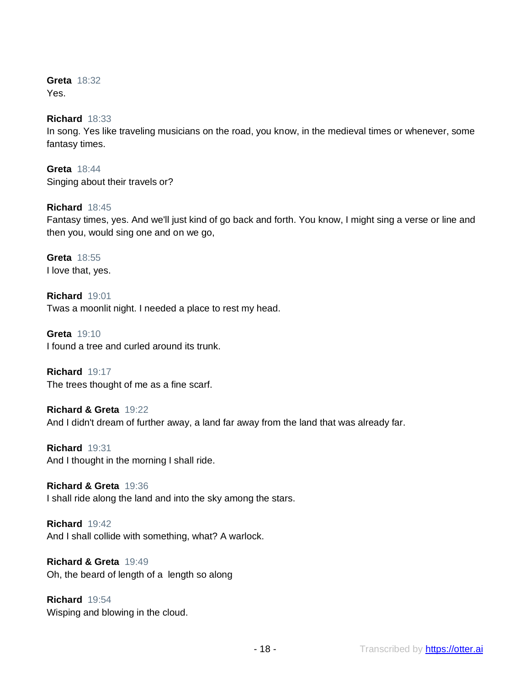**Greta** 18:32 Yes.

## **Richard** 18:33

In song. Yes like traveling musicians on the road, you know, in the medieval times or whenever, some fantasy times.

**Greta** 18:44 Singing about their travels or?

## **Richard** 18:45

Fantasy times, yes. And we'll just kind of go back and forth. You know, I might sing a verse or line and then you, would sing one and on we go,

**Greta** 18:55 I love that, yes.

**Richard** 19:01 Twas a moonlit night. I needed a place to rest my head.

**Greta** 19:10 I found a tree and curled around its trunk.

**Richard** 19:17 The trees thought of me as a fine scarf.

**Richard & Greta** 19:22 And I didn't dream of further away, a land far away from the land that was already far.

**Richard** 19:31 And I thought in the morning I shall ride.

**Richard & Greta** 19:36 I shall ride along the land and into the sky among the stars.

**Richard** 19:42 And I shall collide with something, what? A warlock.

**Richard & Greta** 19:49 Oh, the beard of length of a length so along

**Richard** 19:54 Wisping and blowing in the cloud.